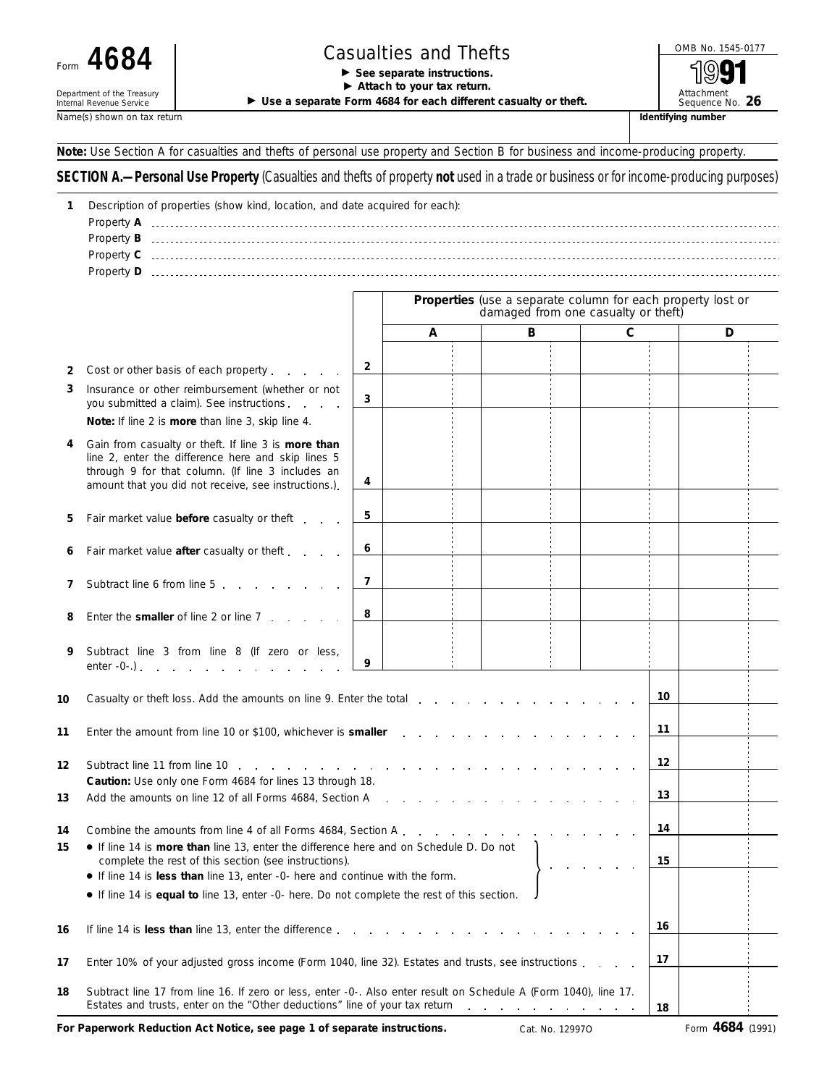## Department of the Treasury<br>Internal Revenue Service

## Form  $4684$   $\begin{array}{|c|c|c|c|c|}\n \hline\n \end{array}$  Casualties and Thefts  $\begin{array}{|c|c|c|c|c|}\n \hline\n \end{array}$   $\begin{array}{|c|c|c|c|}\n \hline\n \end{array}$   $\begin{array}{|c|c|c|}\n \hline\n \end{array}$

▶ Attach to your tax return.

▶ Use a separate Form 4684 for each different casualty or theft.

Attachment<br>Sequence No. 26 Name(s) shown on tax return **If all a structure is a structure of the structure in the structure in the structure in the structure in the structure in the structure in the structure in the structure in the structure in the** 

**Note:** *Use Section A for casualties and thefts of personal use property and Section B for business and income-producing property.*

## **SECTION A.—Personal Use Property** *(Casualties and thefts of property not used in a trade or business or for income-producing purposes)*

| 1                                                     | Description of properties (show kind, location, and date acquired for each):                                                                                                                                                                                                                                                                                                             |                |                          |                                                                                                    |    |             |   |  |  |  |  |
|-------------------------------------------------------|------------------------------------------------------------------------------------------------------------------------------------------------------------------------------------------------------------------------------------------------------------------------------------------------------------------------------------------------------------------------------------------|----------------|--------------------------|----------------------------------------------------------------------------------------------------|----|-------------|---|--|--|--|--|
|                                                       |                                                                                                                                                                                                                                                                                                                                                                                          |                |                          |                                                                                                    |    |             |   |  |  |  |  |
|                                                       |                                                                                                                                                                                                                                                                                                                                                                                          |                |                          |                                                                                                    |    |             |   |  |  |  |  |
|                                                       |                                                                                                                                                                                                                                                                                                                                                                                          |                |                          |                                                                                                    |    |             |   |  |  |  |  |
|                                                       |                                                                                                                                                                                                                                                                                                                                                                                          |                |                          |                                                                                                    |    |             |   |  |  |  |  |
|                                                       |                                                                                                                                                                                                                                                                                                                                                                                          |                |                          | Properties (use a separate column for each property lost or<br>damaged from one casualty or theft) |    |             |   |  |  |  |  |
|                                                       |                                                                                                                                                                                                                                                                                                                                                                                          |                | A                        | в                                                                                                  |    | $\mathbf C$ | D |  |  |  |  |
| 2                                                     | Cost or other basis of each property exercise that is a method of each property                                                                                                                                                                                                                                                                                                          | 2              |                          |                                                                                                    |    |             |   |  |  |  |  |
| 3                                                     | Insurance or other reimbursement (whether or not<br>you submitted a claim). See instructions                                                                                                                                                                                                                                                                                             | 3              |                          |                                                                                                    |    |             |   |  |  |  |  |
|                                                       | Note: If line 2 is more than line 3, skip line 4.                                                                                                                                                                                                                                                                                                                                        |                |                          |                                                                                                    |    |             |   |  |  |  |  |
|                                                       | Gain from casualty or theft. If line 3 is more than<br>line 2, enter the difference here and skip lines 5<br>through 9 for that column. (If line 3 includes an<br>amount that you did not receive, see instructions.).                                                                                                                                                                   | 4              |                          |                                                                                                    |    |             |   |  |  |  |  |
| 5                                                     | Fair market value before casualty or theft                                                                                                                                                                                                                                                                                                                                               | 5              |                          |                                                                                                    |    |             |   |  |  |  |  |
| 6                                                     | Fair market value after casualty or theft                                                                                                                                                                                                                                                                                                                                                | 6              |                          |                                                                                                    |    |             |   |  |  |  |  |
| 7                                                     | Subtract line 6 from line 5 and a control of the substantial substantial substantial substantial substantial substantial substantial substantial substantial substantial substantial substantial substantial substantial subst                                                                                                                                                           | $\overline{7}$ |                          |                                                                                                    |    |             |   |  |  |  |  |
|                                                       | Enter the smaller of line 2 or line 7                                                                                                                                                                                                                                                                                                                                                    | 8              |                          |                                                                                                    |    |             |   |  |  |  |  |
| 9                                                     | Subtract line 3 from line 8 (If zero or less,<br>enter $-0$ -.) $\qquad \qquad$ $\qquad$ $\qquad$ $\qquad$ $\qquad$ $\qquad$ $\qquad$ $\qquad$ $\qquad$ $\qquad$ $\qquad$ $\qquad$ $\qquad$ $\qquad$ $\qquad$ $\qquad$ $\qquad$ $\qquad$ $\qquad$ $\qquad$ $\qquad$ $\qquad$ $\qquad$ $\qquad$ $\qquad$ $\qquad$ $\qquad$ $\qquad$ $\qquad$ $\qquad$ $\qquad$ $\qquad$ $\qquad$ $\qquad$ | 9              |                          |                                                                                                    |    |             |   |  |  |  |  |
|                                                       |                                                                                                                                                                                                                                                                                                                                                                                          |                |                          |                                                                                                    |    | 10          |   |  |  |  |  |
|                                                       | 11<br>Enter the amount from line 10 or \$100, whichever is <b>smaller</b> [1] [1] $\cdots$ [1] $\cdots$ [1] $\cdots$ [1] $\cdots$ [1] $\cdots$ [1] $\cdots$ [1] $\cdots$ [1] $\cdots$ [1] $\cdots$ [1] $\cdots$ [1] $\cdots$ [1] $\cdots$ [1] $\cdots$ [1] $\cdots$ [1] $\cdots$ [1] $\$                                                                                                 |                |                          |                                                                                                    |    |             |   |  |  |  |  |
|                                                       |                                                                                                                                                                                                                                                                                                                                                                                          |                |                          |                                                                                                    | 12 |             |   |  |  |  |  |
|                                                       | Caution: Use only one Form 4684 for lines 13 through 18.<br>Add the amounts on line 12 of all Forms 4684, Section A and a set of the section of the amounts on line 12 of all Forms 4684, Section A                                                                                                                                                                                      |                |                          |                                                                                                    |    |             |   |  |  |  |  |
|                                                       | Combine the amounts from line 4 of all Forms 4684, Section A                                                                                                                                                                                                                                                                                                                             |                | <b>Contract Contract</b> |                                                                                                    |    | 14          |   |  |  |  |  |
|                                                       | • If line 14 is more than line 13, enter the difference here and on Schedule D. Do not<br>complete the rest of this section (see instructions).                                                                                                                                                                                                                                          |                |                          |                                                                                                    |    | 15          |   |  |  |  |  |
|                                                       | • If line 14 is less than line 13, enter -0- here and continue with the form.                                                                                                                                                                                                                                                                                                            |                |                          |                                                                                                    |    |             |   |  |  |  |  |
|                                                       | • If line 14 is <b>equal to</b> line 13, enter -0- here. Do not complete the rest of this section.                                                                                                                                                                                                                                                                                       |                |                          |                                                                                                    |    |             |   |  |  |  |  |
| If line 14 is less than line 13, enter the difference |                                                                                                                                                                                                                                                                                                                                                                                          |                |                          |                                                                                                    |    | 16          |   |  |  |  |  |
|                                                       | Enter 10% of your adjusted gross income (Form 1040, line 32). Estates and trusts, see instructions                                                                                                                                                                                                                                                                                       |                |                          |                                                                                                    |    |             |   |  |  |  |  |
|                                                       | Subtract line 17 from line 16. If zero or less, enter -0-. Also enter result on Schedule A (Form 1040), line 17.<br>Estates and trusts, enter on the "Other deductions" line of your tax return                                                                                                                                                                                          |                |                          |                                                                                                    |    | 18          |   |  |  |  |  |

**For Paperwork Reduction Act Notice, see page 1 of separate instructions.** Cat. No. 129970 Form 4684 (1991)